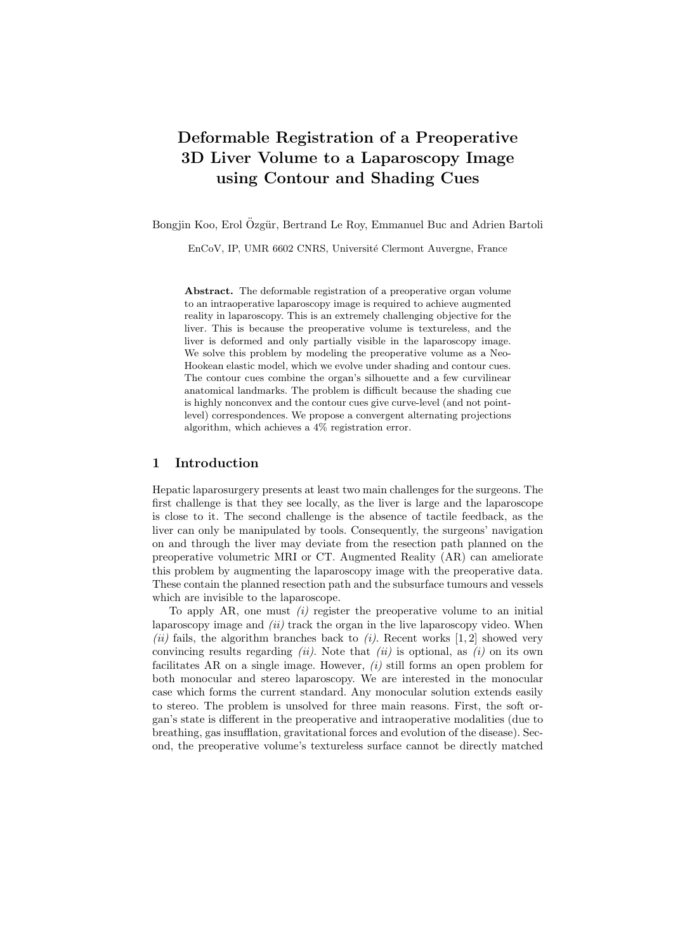# Deformable Registration of a Preoperative 3D Liver Volume to a Laparoscopy Image using Contour and Shading Cues

Bongjin Koo, Erol Özgür, Bertrand Le Roy, Emmanuel Buc and Adrien Bartoli

EnCoV, IP, UMR 6602 CNRS, Université Clermont Auvergne, France

Abstract. The deformable registration of a preoperative organ volume to an intraoperative laparoscopy image is required to achieve augmented reality in laparoscopy. This is an extremely challenging objective for the liver. This is because the preoperative volume is textureless, and the liver is deformed and only partially visible in the laparoscopy image. We solve this problem by modeling the preoperative volume as a Neo-Hookean elastic model, which we evolve under shading and contour cues. The contour cues combine the organ's silhouette and a few curvilinear anatomical landmarks. The problem is difficult because the shading cue is highly nonconvex and the contour cues give curve-level (and not pointlevel) correspondences. We propose a convergent alternating projections algorithm, which achieves a 4% registration error.

# 1 Introduction

Hepatic laparosurgery presents at least two main challenges for the surgeons. The first challenge is that they see locally, as the liver is large and the laparoscope is close to it. The second challenge is the absence of tactile feedback, as the liver can only be manipulated by tools. Consequently, the surgeons' navigation on and through the liver may deviate from the resection path planned on the preoperative volumetric MRI or CT. Augmented Reality (AR) can ameliorate this problem by augmenting the laparoscopy image with the preoperative data. These contain the planned resection path and the subsurface tumours and vessels which are invisible to the laparoscope.

To apply AR, one must  $(i)$  register the preoperative volume to an initial laparoscopy image and  $(ii)$  track the organ in the live laparoscopy video. When (ii) fails, the algorithm branches back to (i). Recent works  $[1, 2]$  showed very convincing results regarding *(ii)*. Note that *(ii)* is optional, as *(i)* on its own facilitates AR on a single image. However,  $(i)$  still forms an open problem for both monocular and stereo laparoscopy. We are interested in the monocular case which forms the current standard. Any monocular solution extends easily to stereo. The problem is unsolved for three main reasons. First, the soft organ's state is different in the preoperative and intraoperative modalities (due to breathing, gas insufflation, gravitational forces and evolution of the disease). Second, the preoperative volume's textureless surface cannot be directly matched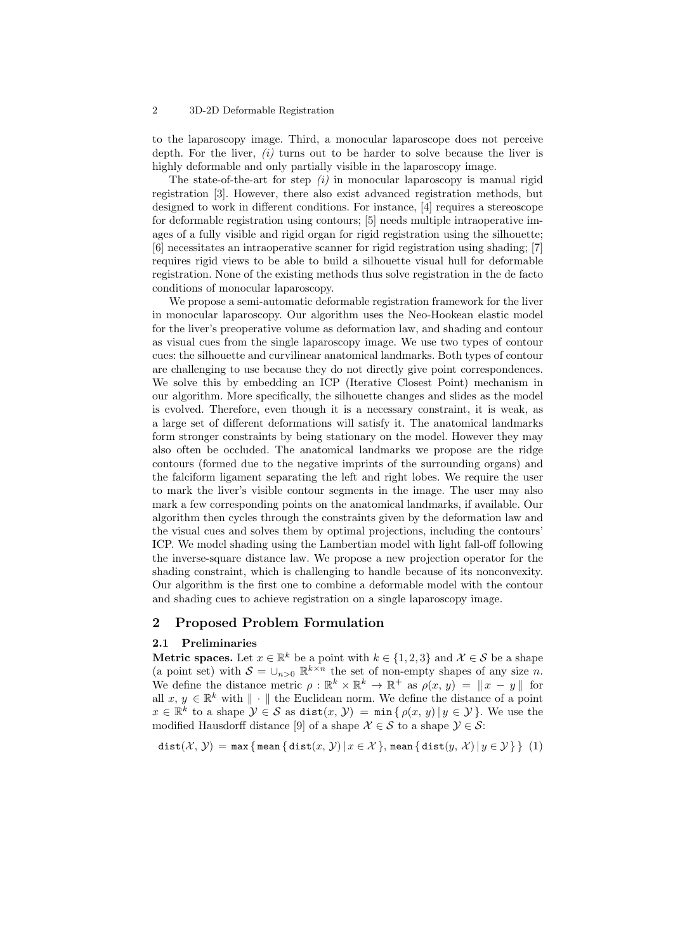#### 2 3D-2D Deformable Registration

to the laparoscopy image. Third, a monocular laparoscope does not perceive depth. For the liver,  $(i)$  turns out to be harder to solve because the liver is highly deformable and only partially visible in the laparoscopy image.

The state-of-the-art for step  $(i)$  in monocular laparoscopy is manual rigid registration [3]. However, there also exist advanced registration methods, but designed to work in different conditions. For instance, [4] requires a stereoscope for deformable registration using contours; [5] needs multiple intraoperative images of a fully visible and rigid organ for rigid registration using the silhouette; [6] necessitates an intraoperative scanner for rigid registration using shading; [7] requires rigid views to be able to build a silhouette visual hull for deformable registration. None of the existing methods thus solve registration in the de facto conditions of monocular laparoscopy.

We propose a semi-automatic deformable registration framework for the liver in monocular laparoscopy. Our algorithm uses the Neo-Hookean elastic model for the liver's preoperative volume as deformation law, and shading and contour as visual cues from the single laparoscopy image. We use two types of contour cues: the silhouette and curvilinear anatomical landmarks. Both types of contour are challenging to use because they do not directly give point correspondences. We solve this by embedding an ICP (Iterative Closest Point) mechanism in our algorithm. More specifically, the silhouette changes and slides as the model is evolved. Therefore, even though it is a necessary constraint, it is weak, as a large set of different deformations will satisfy it. The anatomical landmarks form stronger constraints by being stationary on the model. However they may also often be occluded. The anatomical landmarks we propose are the ridge contours (formed due to the negative imprints of the surrounding organs) and the falciform ligament separating the left and right lobes. We require the user to mark the liver's visible contour segments in the image. The user may also mark a few corresponding points on the anatomical landmarks, if available. Our algorithm then cycles through the constraints given by the deformation law and the visual cues and solves them by optimal projections, including the contours' ICP. We model shading using the Lambertian model with light fall-off following the inverse-square distance law. We propose a new projection operator for the shading constraint, which is challenging to handle because of its nonconvexity. Our algorithm is the first one to combine a deformable model with the contour and shading cues to achieve registration on a single laparoscopy image.

### 2 Proposed Problem Formulation

#### 2.1 Preliminaries

**Metric spaces.** Let  $x \in \mathbb{R}^k$  be a point with  $k \in \{1, 2, 3\}$  and  $\mathcal{X} \in \mathcal{S}$  be a shape (a point set) with  $S = \bigcup_{n>0} \mathbb{R}^{k\times n}$  the set of non-empty shapes of any size n. We define the distance metric  $\rho : \mathbb{R}^k \times \mathbb{R}^k \to \mathbb{R}^+$  as  $\rho(x, y) = ||x - y||$  for all  $x, y \in \mathbb{R}^k$  with  $\|\cdot\|$  the Euclidean norm. We define the distance of a point  $x \in \mathbb{R}^k$  to a shape  $\mathcal{Y} \in \mathcal{S}$  as  $dist(x, \mathcal{Y}) = \min\{\rho(x, y) | y \in \mathcal{Y}\}.$  We use the modified Hausdorff distance [9] of a shape  $X \in \mathcal{S}$  to a shape  $\mathcal{Y} \in \mathcal{S}$ :

$$
\text{dist}(\mathcal{X}, \mathcal{Y}) = \max \{ \text{mean} \{ \text{dist}(x, \mathcal{Y}) \, | \, x \in \mathcal{X} \}, \text{mean} \{ \text{dist}(y, \mathcal{X}) \, | \, y \in \mathcal{Y} \} \} \tag{1}
$$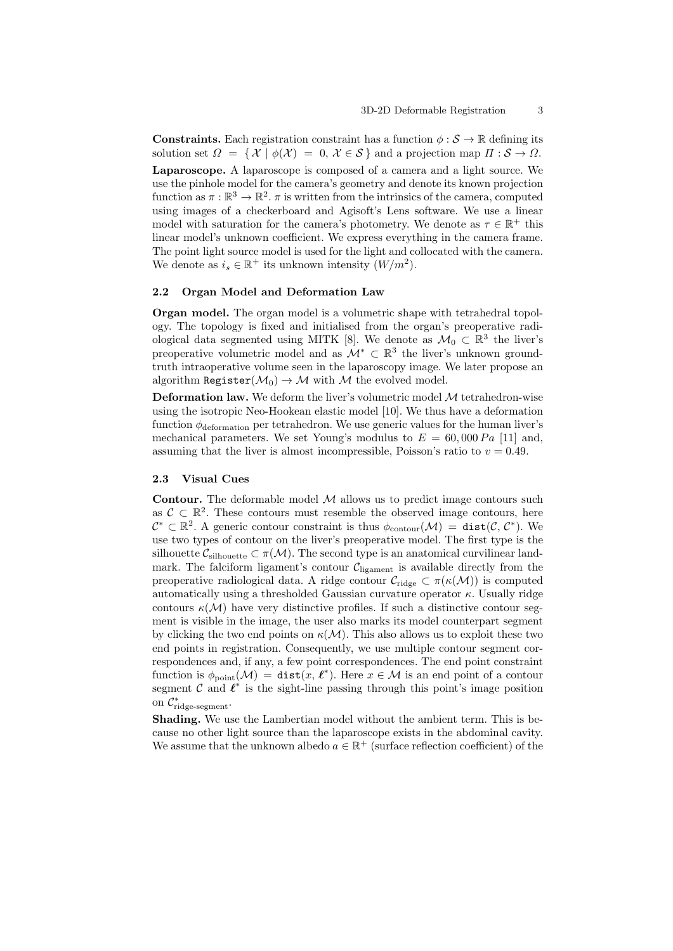**Constraints.** Each registration constraint has a function  $\phi : \mathcal{S} \to \mathbb{R}$  defining its solution set  $\Omega = \{ \mathcal{X} \mid \phi(\mathcal{X}) = 0, \mathcal{X} \in \mathcal{S} \}$  and a projection map  $\Pi : \mathcal{S} \to \Omega$ . Laparoscope. A laparoscope is composed of a camera and a light source. We use the pinhole model for the camera's geometry and denote its known projection function as  $\pi : \mathbb{R}^3 \to \mathbb{R}^2$ .  $\pi$  is written from the intrinsics of the camera, computed using images of a checkerboard and Agisoft's Lens software. We use a linear model with saturation for the camera's photometry. We denote as  $\tau \in \mathbb{R}^+$  this linear model's unknown coefficient. We express everything in the camera frame. The point light source model is used for the light and collocated with the camera. We denote as  $i_s \in \mathbb{R}^+$  its unknown intensity  $(W/m^2)$ .

### 2.2 Organ Model and Deformation Law

Organ model. The organ model is a volumetric shape with tetrahedral topology. The topology is fixed and initialised from the organ's preoperative radiological data segmented using MITK [8]. We denote as  $\mathcal{M}_0 \subset \mathbb{R}^3$  the liver's preoperative volumetric model and as  $\mathcal{M}^* \subset \mathbb{R}^3$  the liver's unknown groundtruth intraoperative volume seen in the laparoscopy image. We later propose an algorithm Register $(\mathcal{M}_0) \to \mathcal{M}$  with  $\mathcal M$  the evolved model.

**Deformation law.** We deform the liver's volumetric model  $M$  tetrahedron-wise using the isotropic Neo-Hookean elastic model [10]. We thus have a deformation function  $\phi_{\rm deformation}$  per tetrahedron. We use generic values for the human liver's mechanical parameters. We set Young's modulus to  $E = 60,000 Pa$  [11] and, assuming that the liver is almost incompressible, Poisson's ratio to  $v = 0.49$ .

#### 2.3 Visual Cues

**Contour.** The deformable model  $M$  allows us to predict image contours such as  $\mathcal{C} \subset \mathbb{R}^2$ . These contours must resemble the observed image contours, here  $\mathcal{C}^* \subset \mathbb{R}^2$ . A generic contour constraint is thus  $\phi_{\text{contour}}(\mathcal{M}) = \text{dist}(\mathcal{C}, \mathcal{C}^*)$ . We use two types of contour on the liver's preoperative model. The first type is the silhouette  $C_{\text{silhouette}} \subset \pi(\mathcal{M})$ . The second type is an anatomical curvilinear landmark. The falciform ligament's contour  $C_{\text{ligament}}$  is available directly from the preoperative radiological data. A ridge contour  $\mathcal{C}_{\text{ridge}} \subset \pi(\kappa(\mathcal{M}))$  is computed automatically using a thresholded Gaussian curvature operator  $\kappa$ . Usually ridge contours  $\kappa(\mathcal{M})$  have very distinctive profiles. If such a distinctive contour segment is visible in the image, the user also marks its model counterpart segment by clicking the two end points on  $\kappa(\mathcal{M})$ . This also allows us to exploit these two end points in registration. Consequently, we use multiple contour segment correspondences and, if any, a few point correspondences. The end point constraint function is  $\phi_{\text{point}}(\mathcal{M}) = \text{dist}(x, \ell^*)$ . Here  $x \in \mathcal{M}$  is an end point of a contour segment  $\mathcal C$  and  $\mathcal C^*$  is the sight-line passing through this point's image position on  $\mathcal{C}^*_{\text{ridge-segment}}$ .

Shading. We use the Lambertian model without the ambient term. This is because no other light source than the laparoscope exists in the abdominal cavity. We assume that the unknown albedo  $a \in \mathbb{R}^+$  (surface reflection coefficient) of the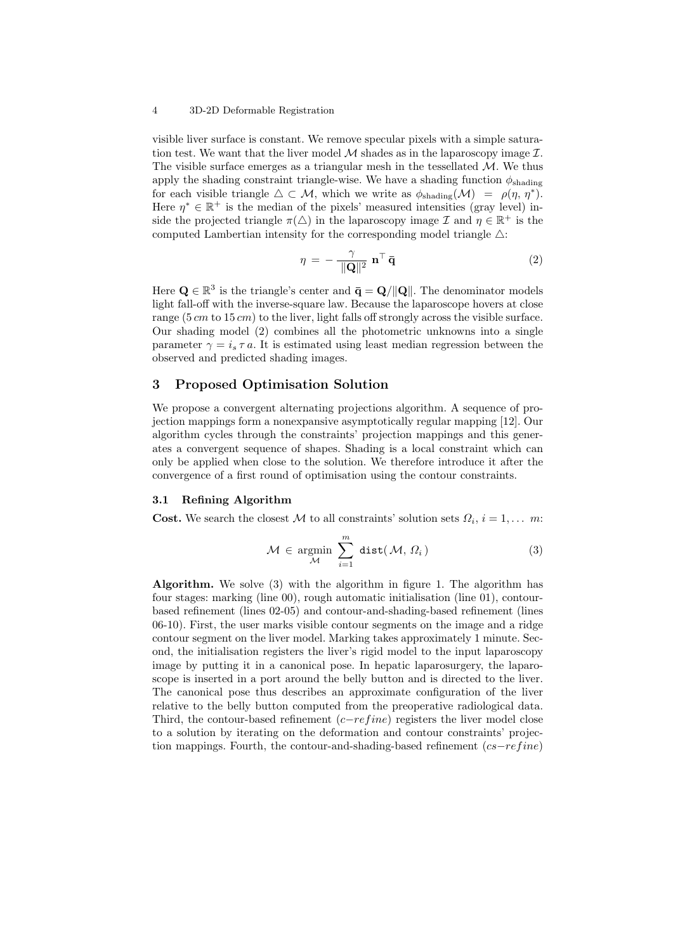#### 4 3D-2D Deformable Registration

visible liver surface is constant. We remove specular pixels with a simple saturation test. We want that the liver model  $M$  shades as in the laparoscopy image  $\mathcal{I}$ . The visible surface emerges as a triangular mesh in the tessellated  $M$ . We thus apply the shading constraint triangle-wise. We have a shading function  $\phi_{\text{shading}}$ for each visible triangle  $\Delta \subset \mathcal{M}$ , which we write as  $\phi_{shading}(\mathcal{M}) = \rho(\eta, \eta^*)$ . Here  $\eta^* \in \mathbb{R}^+$  is the median of the pixels' measured intensities (gray level) inside the projected triangle  $\pi(\Delta)$  in the laparoscopy image  $\mathcal I$  and  $\eta \in \mathbb{R}^+$  is the computed Lambertian intensity for the corresponding model triangle  $\triangle$ :

$$
\eta = -\frac{\gamma}{\|\mathbf{Q}\|^2} \mathbf{n}^\top \mathbf{\bar{q}} \tag{2}
$$

Here  $\mathbf{Q} \in \mathbb{R}^3$  is the triangle's center and  $\bar{\mathbf{q}} = \mathbf{Q}/\|\mathbf{Q}\|$ . The denominator models light fall-off with the inverse-square law. Because the laparoscope hovers at close range  $(5 \, cm \, \text{to} \, 15 \, cm)$  to the liver, light falls off strongly across the visible surface. Our shading model (2) combines all the photometric unknowns into a single parameter  $\gamma = i_s \tau a$ . It is estimated using least median regression between the observed and predicted shading images.

## 3 Proposed Optimisation Solution

We propose a convergent alternating projections algorithm. A sequence of projection mappings form a nonexpansive asymptotically regular mapping [12]. Our algorithm cycles through the constraints' projection mappings and this generates a convergent sequence of shapes. Shading is a local constraint which can only be applied when close to the solution. We therefore introduce it after the convergence of a first round of optimisation using the contour constraints.

#### 3.1 Refining Algorithm

**Cost.** We search the closest M to all constraints' solution sets  $\Omega_i$ ,  $i = 1, \ldots$  m:

$$
\mathcal{M} \in \operatorname*{argmin}_{\mathcal{M}} \sum_{i=1}^{m} \operatorname*{dist}(\mathcal{M}, \Omega_{i})
$$
\n(3)

Algorithm. We solve (3) with the algorithm in figure 1. The algorithm has four stages: marking (line 00), rough automatic initialisation (line 01), contourbased refinement (lines 02-05) and contour-and-shading-based refinement (lines 06-10). First, the user marks visible contour segments on the image and a ridge contour segment on the liver model. Marking takes approximately 1 minute. Second, the initialisation registers the liver's rigid model to the input laparoscopy image by putting it in a canonical pose. In hepatic laparosurgery, the laparoscope is inserted in a port around the belly button and is directed to the liver. The canonical pose thus describes an approximate configuration of the liver relative to the belly button computed from the preoperative radiological data. Third, the contour-based refinement  $(c-refine)$  registers the liver model close to a solution by iterating on the deformation and contour constraints' projection mappings. Fourth, the contour-and-shading-based refinement  $(c\bar{s}-refine)$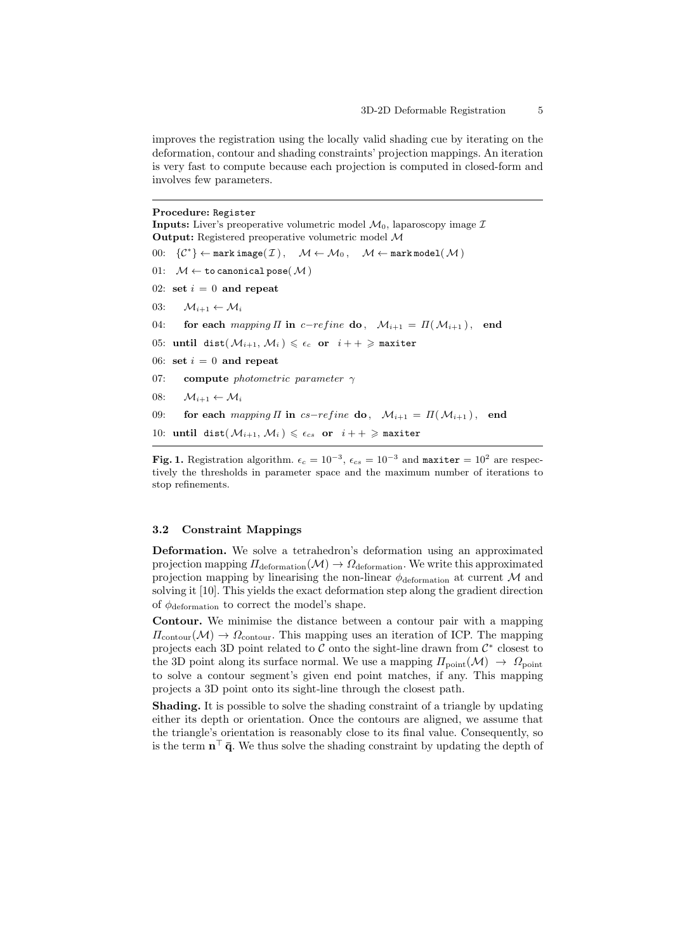improves the registration using the locally valid shading cue by iterating on the deformation, contour and shading constraints' projection mappings. An iteration is very fast to compute because each projection is computed in closed-form and involves few parameters.

#### Procedure: Register

**Inputs:** Liver's preoperative volumetric model  $\mathcal{M}_0$ , laparoscopy image  $\mathcal{I}$ Output: Registered preoperative volumetric model M 00:  $\{\mathcal{C}^*\}\leftarrow \texttt{mark image}(\mathcal{I}), \quad \mathcal{M} \leftarrow \mathcal{M}_0, \quad \mathcal{M} \leftarrow \texttt{mark model}(\mathcal{M})$ 01:  $M \leftarrow$  to canonical pose( $M$ ) 02: set  $i = 0$  and repeat 03:  $\mathcal{M}_{i+1} \leftarrow \mathcal{M}_i$ 04: for each mapping  $\Pi$  in c−refine do,  $\mathcal{M}_{i+1} = \Pi(\mathcal{M}_{i+1})$ , end 05: until dist $(\mathcal{M}_{i+1}, \mathcal{M}_i) \leq \epsilon_c$  or  $i + + \geq$  maxiter 06: set  $i = 0$  and repeat 07: compute photometric parameter  $\gamma$ 08:  $\mathcal{M}_{i+1} \leftarrow \mathcal{M}_i$ 09: for each mapping  $\Pi$  in cs−refine do,  $\mathcal{M}_{i+1} = \Pi(\mathcal{M}_{i+1})$ , end 10: until dist $(\mathcal{M}_{i+1}, \mathcal{M}_i) \leq \epsilon_{cs}$  or  $i + + \geq$  maxiter

**Fig. 1.** Registration algorithm.  $\epsilon_c = 10^{-3}$ ,  $\epsilon_{cs} = 10^{-3}$  and maxiter =  $10^2$  are respectively the thresholds in parameter space and the maximum number of iterations to stop refinements.

#### 3.2 Constraint Mappings

Deformation. We solve a tetrahedron's deformation using an approximated projection mapping  $\Pi_{\text{deformation}}(\mathcal{M}) \rightarrow \Omega_{\text{deformation}}$ . We write this approximated projection mapping by linearising the non-linear  $\phi_{\text{deformation}}$  at current M and solving it [10]. This yields the exact deformation step along the gradient direction of  $\phi_{\text{deformation}}$  to correct the model's shape.

Contour. We minimise the distance between a contour pair with a mapping  $\Pi_{\text{contour}}(\mathcal{M}) \to \Omega_{\text{contour}}$ . This mapping uses an iteration of ICP. The mapping projects each 3D point related to  $\mathcal C$  onto the sight-line drawn from  $\mathcal C^*$  closest to the 3D point along its surface normal. We use a mapping  $\Pi_{\text{point}}(\mathcal{M}) \to \Omega_{\text{point}}$ to solve a contour segment's given end point matches, if any. This mapping projects a 3D point onto its sight-line through the closest path.

Shading. It is possible to solve the shading constraint of a triangle by updating either its depth or orientation. Once the contours are aligned, we assume that the triangle's orientation is reasonably close to its final value. Consequently, so is the term  $\mathbf{n}^{\top} \bar{\mathbf{q}}$ . We thus solve the shading constraint by updating the depth of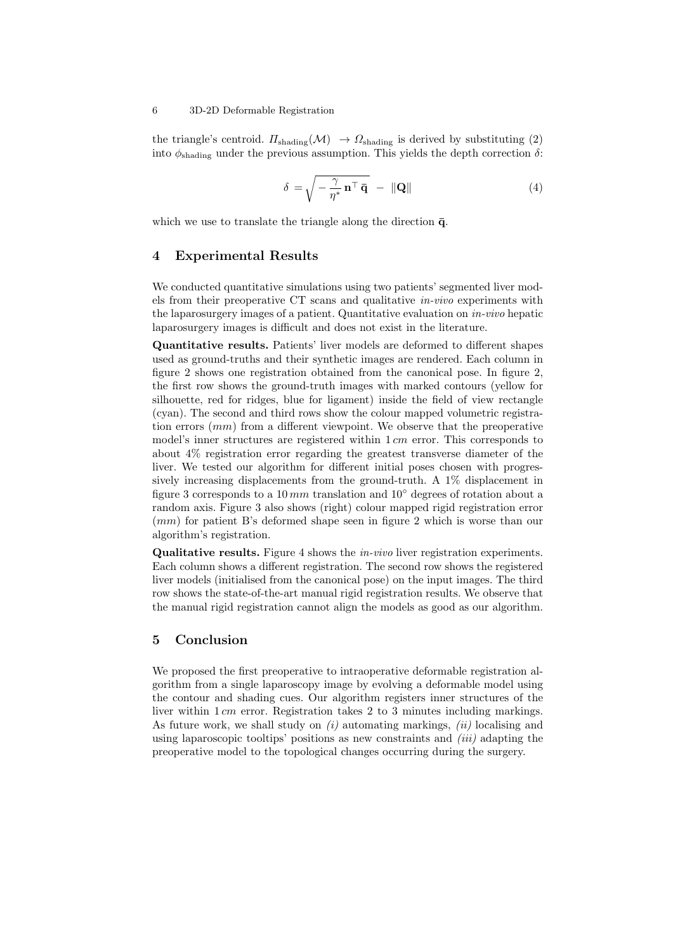the triangle's centroid.  $\Pi_{\text{shading}}(\mathcal{M}) \rightarrow \Omega_{\text{shading}}$  is derived by substituting (2) into  $\phi_{\text{shading}}$  under the previous assumption. This yields the depth correction  $\delta$ :

$$
\delta = \sqrt{-\frac{\gamma}{\eta^*} \mathbf{n}^\top \mathbf{\bar{q}}} - \|\mathbf{Q}\| \tag{4}
$$

which we use to translate the triangle along the direction  $\bar{q}$ .

## 4 Experimental Results

We conducted quantitative simulations using two patients' segmented liver models from their preoperative CT scans and qualitative in-vivo experiments with the laparosurgery images of a patient. Quantitative evaluation on in-vivo hepatic laparosurgery images is difficult and does not exist in the literature.

Quantitative results. Patients' liver models are deformed to different shapes used as ground-truths and their synthetic images are rendered. Each column in figure 2 shows one registration obtained from the canonical pose. In figure 2, the first row shows the ground-truth images with marked contours (yellow for silhouette, red for ridges, blue for ligament) inside the field of view rectangle (cyan). The second and third rows show the colour mapped volumetric registration errors  $(mm)$  from a different viewpoint. We observe that the preoperative model's inner structures are registered within  $1 \, \text{cm}$  error. This corresponds to about 4% registration error regarding the greatest transverse diameter of the liver. We tested our algorithm for different initial poses chosen with progressively increasing displacements from the ground-truth. A 1% displacement in figure 3 corresponds to a 10 mm translation and 10 $^{\circ}$  degrees of rotation about a random axis. Figure 3 also shows (right) colour mapped rigid registration error (mm) for patient B's deformed shape seen in figure 2 which is worse than our algorithm's registration.

Qualitative results. Figure 4 shows the in-vivo liver registration experiments. Each column shows a different registration. The second row shows the registered liver models (initialised from the canonical pose) on the input images. The third row shows the state-of-the-art manual rigid registration results. We observe that the manual rigid registration cannot align the models as good as our algorithm.

### 5 Conclusion

We proposed the first preoperative to intraoperative deformable registration algorithm from a single laparoscopy image by evolving a deformable model using the contour and shading cues. Our algorithm registers inner structures of the liver within 1 cm error. Registration takes 2 to 3 minutes including markings. As future work, we shall study on  $(i)$  automating markings,  $(ii)$  localising and using laparoscopic tooltips' positions as new constraints and  $(iii)$  adapting the preoperative model to the topological changes occurring during the surgery.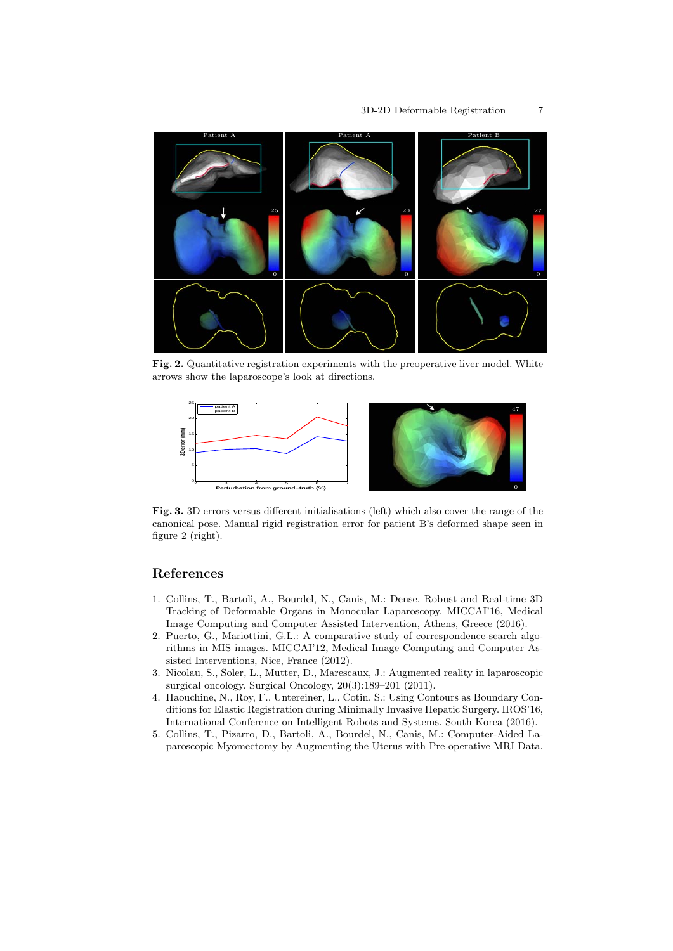

Fig. 2. Quantitative registration experiments with the preoperative liver model. White arrows show the laparoscope's look at directions.



Fig. 3. 3D errors versus different initialisations (left) which also cover the range of the canonical pose. Manual rigid registration error for patient B's deformed shape seen in figure 2 (right).

# References

- 1. Collins, T., Bartoli, A., Bourdel, N., Canis, M.: Dense, Robust and Real-time 3D Tracking of Deformable Organs in Monocular Laparoscopy. MICCAI'16, Medical Image Computing and Computer Assisted Intervention, Athens, Greece (2016).
- 2. Puerto, G., Mariottini, G.L.: A comparative study of correspondence-search algorithms in MIS images. MICCAI'12, Medical Image Computing and Computer Assisted Interventions, Nice, France (2012).
- 3. Nicolau, S., Soler, L., Mutter, D., Marescaux, J.: Augmented reality in laparoscopic surgical oncology. Surgical Oncology, 20(3):189–201 (2011).
- 4. Haouchine, N., Roy, F., Untereiner, L., Cotin, S.: Using Contours as Boundary Conditions for Elastic Registration during Minimally Invasive Hepatic Surgery. IROS'16, International Conference on Intelligent Robots and Systems. South Korea (2016).
- 5. Collins, T., Pizarro, D., Bartoli, A., Bourdel, N., Canis, M.: Computer-Aided Laparoscopic Myomectomy by Augmenting the Uterus with Pre-operative MRI Data.